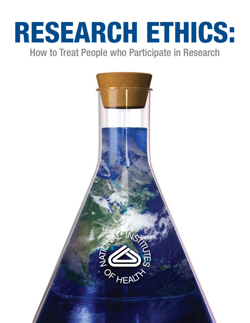# RESEARCH ETHICS:

How to Treat People who Participate in Research

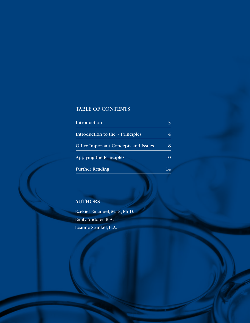# TABLE OF CONTENTS

| Introduction                               |    |
|--------------------------------------------|----|
| Introduction to the 7 Principles           |    |
| <b>Other Important Concepts and Issues</b> |    |
| <b>Applying the Principles</b>             | 10 |
| <b>Further Reading</b>                     |    |

## **AUTHORS**

Ezekiel Emanuel, M.D., Ph.D. Emily Abdoler, B.A. Leanne Stunkel, B.A.

2 Research Ethics | National Institutes of Health Clinical Center Department of Bioethics | **www.bioethics.nih.gov**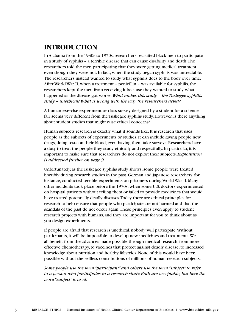## **Introduction**

In Alabama from the 1930s to 1970s, researchers recruited black men to participate in a study of syphilis – a terrible disease that can cause disability and death. The researchers told the men participating that they were getting medical treatment, even though they were not. In fact, when the study began syphilis was untreatable. The researchers instead wanted to study what syphilis does to the body over time. After World War II, when a treatment – penicillin – was available for syphilis, the researchers kept the men from receiving it because they wanted to study what happened as the disease got worse. *What makes this study – the Tuskegee syphilis study – unethical? What is wrong with the way the researchers acted?*

A human exercise experiment or class survey designed by a student for a science fair seems very different from the Tuskegee syphilis study. However, is there anything about student studies that might raise ethical concerns?

Human subjects research is exactly what it sounds like. It is research that uses people as the subjects of experiments or studies. It can include giving people new drugs, doing tests on their blood, even having them take surveys. Researchers have a duty to treat the people they study ethically and respectfully. In particular, it is important to make sure that researchers do not exploit their subjects. *Exploitation is addressed further on page 9.*

Unfortunately, as the Tuskegee syphilis study shows, some people were treated horribly during research studies in the past. German and Japanese researchers, for instance, conducted terrible experiments on prisoners during World War II. Many other incidents took place before the 1970s, when some U.S. doctors experimented on hospital patients without telling them or failed to provide medicines that would have treated potentially deadly diseases. Today, there are ethical principles for research to help ensure that people who participate are not harmed and that the scandals of the past do not occur again. These principles even apply to student research projects with humans, and they are important for you to think about as you design experiments.

If people are afraid that research is unethical, nobody will participate. Without participants, it will be impossible to develop new medicines and treatments. We all benefit from the advances made possible through medical research, from more effective chemotherapy, to vaccines that protect against deadly disease, to increased knowledge about nutrition and healthy lifestyles. None of this would have been possible without the selfless contributions of millions of human research subjects.

*Some people use the term "participant" and others use the term "subject" to refer to a person who participates in a research study. Both are acceptable, but here the word "subject" is used.*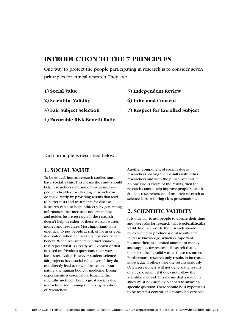# **Introduction to the 7 Principles**

One way to protect the people participating in research is to consider seven principles for ethical research. They are:

**1) Social Value**

**5) Independent Review**

**2) Scientific Validity**

**6) Informed Consent**

- **3) Fair Subject Selection**
- **4) Favorable Risk-Benefit Ratio**
- **7) Respect for Enrolled Subject**

Each principle is described below:

#### **1. Social Value**

To be ethical, human research studies must have **social value**. This means the study should help researchers determine how to improve people's health or well-being. Research can do this directly, by providing results that lead to better tests and treatments for disease. Research can also help indirectly, by generating information that increases understanding and guides future research. If the research doesn't help in either of these ways, it wastes money and resources. Most importantly, it is unethical to put people at risk of harm or even discomfort when neither they nor society can benefit. When researchers conduct studies that repeat what is already well known or that is based on frivolous questions, their work lacks social value. However, student science fair projects have social value even if they do not directly lead to new information about nature, the human body, or medicine. Doing experiments is essential for learning the scientific method. There is great social value in teaching and training the next generation of researchers.

Another component of social value is researchers sharing their results with other researchers and with the public. After all, if no one else is aware of the results, then the research cannot help improve people's health. Student researchers can share their research at science fairs or during class presentations.

#### **2. Scientific Validity**

It is only fair to ask people to donate their time and take risks for research that is **scientifically valid**. In other words, the research should be expected to produce useful results and increase knowledge, which is important because there is a limited amount of money and supplies for research. Research that is not scientifically valid wastes these resources. Furthermore, research only results in increased knowledge if others take the results seriously. Often researchers will not believe the results of an experiment if it does not follow the scientific method. This means that a research study must be carefully planned to answer a specific question. There should be a hypothesis to be tested, a control, and controlled variables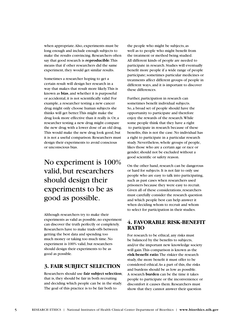when appropriate. Also, experiments must be long enough and include enough subjects to make the results convincing. Researchers often say that good research is **reproducible**. This means that if other researchers did the same experiment, they would get similar results.

Sometimes a researcher hoping to get a certain result will design her research in a way that makes that result more likely. This is known as **bias**, and whether it is purposeful or accidental, it is not scientifically valid. For example, a researcher testing a new cancer drug might only choose human subjects she thinks will get better. This might make the drug look more effective than it really is. Or, a researcher testing a new drug might compare the new drug with a lower dose of an old drug. This would make the new drug look good, but it is not a useful comparison. Researchers must design their experiments to avoid conscious or unconscious bias.

# No experiment is 100% valid, but researchers should design their experiments to be as good as possible.

Although researchers try to make their experiments as valid as possible, no experiment can discover the truth perfectly or completely. Researchers have to make trade-offs between getting the best data and spending too much money or taking too much time. No experiment is 100% valid, but researchers should design their experiments to be as good as possible.

#### **3. Fair Subject Selection**

Researchers should use **fair subject selection**; that is, they should be fair in both recruiting and deciding which people can be in the study. The goal of this practice is to be fair both to

the people who might be subjects, as well as to people who might benefit from the treatment or method being studied. All different kinds of people are needed to participate in research. Studies will eventually benefit more people if a wide range of people participate; sometimes particular medicines or treatments affect different groups of people in different ways, and it is important to discover these differences.

Further, participation in research can sometimes benefit individual subjects. So, a broad set of people should have the opportunity to participate and therefore enjoy the rewards of the research. While some people think that they have a right to participate in research because of these benefits, this is not the case. No individual has a right to participate in a particular research study. Nevertheless, whole groups of people, likes those who are a certain age or race or gender, should not be excluded without a good scientific or safety reason.

On the other hand, research can be dangerous or hard for subjects. It is not fair to only use people who are easy to talk into participating, such as past cases when researchers used prisoners because they were easy to recruit. Given all of these considerations, researchers must carefully consider the research question and which people best can help answer it when deciding whom to recruit and whom to select for participation in their studies.

#### **4. Favorable Risk-Benefit Ratio**

For research to be ethical, any risks must be balanced by the benefits to subjects, and/or the important new knowledge society will gain. This comparison is known as the **risk-benefit ratio**. The riskier the research study, the more benefit it must offer to be considered ethical. As a part of this, the risks and burdens should be as low as possible. A research **burden** can be the time it takes people to participate or the inconvenience or discomfort it causes them. Researchers must show that they cannot answer their question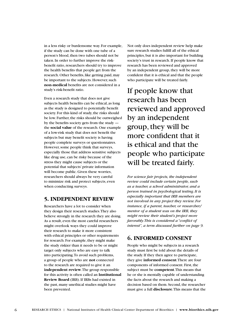in a less risky or burdensome way. For example, if the study can be done with one tube of a person's blood, then two tubes should not be taken. In order to further improve the riskbenefit ratio, researchers should try to improve the health benefits that people get from the research. Other benefits, like getting paid, may be important to the subjects. However, such **non-medical** benefits are not considered in a study's risk-benefit ratio.

Even a research study that does not give subjects health benefits can be ethical, as long as the study is designed to potentially benefit society. For this kind of study, the risks should be low. Further, the risks should be outweighed by the benefits society gets from the study the **social value** of the research. One example of a low-risk study that does not benefit the subjects but may benefit society is having people complete surveys or questionnaires. However, some people think that surveys, especially those that address sensitive subjects like drug use, can be risky because of the stress they might cause subjects or the potential that subjects' private information will become public. Given these worries, researchers should always be very careful to minimize risk and protect subjects, even when conducting surveys.

#### **5. Independent Review**

Researchers have a lot to consider when they design their research studies. They also believe strongly in the research they are doing. As a result, even the most careful researchers might overlook ways they could improve their research to make it more consistent with ethical principles or other requirements for research. For example, they might make the study riskier than it needs to be or might target only subjects who are easy to talk into participating. To avoid such problems, a group of people who are **not** connected to the research are required to give it an **independent review**. The group responsible for this activity is often called an **Institutional Review Board** (IRB). If IRBs had existed in the past, many unethical studies might have been prevented.

Not only does independent review help make sure research studies fulfill all of the ethical principles, but it is also important for building society's trust in research. If people know that research has been reviewed and approved by an independent group, they will be more confident that it is ethical and that the people who participate will be treated fairly.

If people know that research has been reviewed and approved by an independent group, they will be more confident that it is ethical and that the people who participate will be treated fairly.

*For science fair projects, the independent review could include certain people, such as a teacher, a school administrator, and a person trained in psychological testing. It is especially important that IRB members are not involved in any project they review. For instance, if a parent, teacher, or researcher/ mentor of a student was on the IRB, they might review their student's project more favorably. This is considered a "conflict of interest", a term discussed further on page 9.*

#### **6. Informed Consent**

People who might be subjects in a research study must first be told about the details of the study. If they then agree to participate, they give **informed consent**. There are four components of informed consent. First, the subject must be **competent**. This means that he or she is mentally capable of understanding the facts about the research and making a decision based on them. Second, the researcher must give a full **disclosure**. This means that the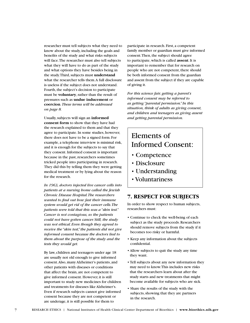researcher must tell subjects what they need to know about the study, including the goals and benefits of the study and what risks subjects will face. The researcher must also tell subjects what they will have to do as part of the study and what options they have besides being in the study. Third, subjects must **understand** what the researcher tells them. A full disclosure is useless if the subject does not understand. Fourth, the subject's decision to participate must be **voluntary**, rather than the result of pressures such as **undue inducement** or **coercion**. *These terms will be addressed on page 8.*

Usually, subjects will sign an **informed consent form** to show that they have had the research explained to them and that they agree to participate. In some studies, however, there does not have to be a signed form. For example, a telephone interview is minimal risk, and it is enough for the subjects to say that they consent. Informed consent is important because in the past, researchers sometimes tricked people into participating in research. They did this by telling them they were getting medical treatment or by lying about the reason for the research.

*In 1963, doctors injected live cancer cells into patients at a nursing home called the Jewish Chronic Disease Hospital. The researchers wanted to find out how fast their immune system would get rid of the cancer cells. The patients were told that this was a "skin test." Cancer is not contagious, so the patients could not have gotten cancer. Still, the study was not ethical. Even though they agreed to receive the "skin test," the patients did not give informed consent because the doctors lied to them about the purpose of the study and the tests they would get.*

By law, children and teenagers under age 18 are usually not old enough to give informed consent. Also, many Alzheimer's patients, and other patients with diseases or conditions that affect the brain, are not competent to give informed consent. However, it is still important to study new medicines for children and treatments for diseases like Alzheimer's. Even if research subjects cannot give informed consent because they are not competent or are underage, it is still possible for them to

participate in research. First, a competent family member or guardian must give informed consent. Then, the subject should agree to participate, which is called **assent**. It is important to remember that for research on people who are not competent, there should be both informed consent from the guardian and assent from the subject if they are capable of giving it.

*For this science fair, getting a parent's informed consent may be referred to as getting "parental permission." In this situation, think of adults as giving consent, and children and teenagers as giving assent and getting parental permission.*

# Elements of Informed Consent:

- Competence
- Disclosure
- Understanding
- Voluntariness

#### **7. Respect for Subjects**

In order to show respect to human subjects, researchers must:

- Continue to check the well-being of each subject as the study proceeds. Researchers should remove subjects from the study if it becomes too risky or harmful.
- Keep any information about the subjects confidential.
- Allow subjects to quit the study any time they want.
- Tell subjects about any new information they may need to know. This includes new risks that the researchers learn about after the study starts and new treatments that might become available for subjects who are sick.
- Share the results of the study with the subjects, showing that they are partners in the research.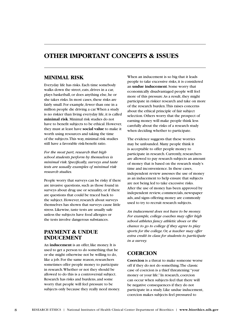# **Other Important Concepts & Issues**

#### **Minimal Risk**

Everyday life has risks. Each time somebody walks down the street, eats, drives in a car, plays basketball, or does anything else, he or she takes risks. In most cases, these risks are fairly small. For example, fewer than one in a million people die driving a car. When a study is no riskier than living everyday life, it is called **minimal risk**. Minimal risk studies do not have to benefit subjects to be ethical. However, they must at least have **social value** to make it worth using resources and taking the time of the subjects. This way, minimal risk studies still have a favorable risk-benefit ratio.

*For the most part, research that high school students perform by themselves is minimal risk. Specifically, surveys and taste tests are usually examples of minimal risk research studies.*

People worry that surveys can be risky if there are invasive questions, such as those found in surveys about drug use or sexuality, or if there are questions that could be traced back to the subject. However, research about surveys themselves has shown that surveys cause little stress. Likewise, taste tests are usually safe unless the subjects have food allergies or the tests involve dangerous substances.

#### **Payment & Undue Inducement**

An **inducement** is an offer, like money. It is used to get a person to do something that he or she might otherwise not be willing to do, like a job. For the same reason, researchers sometimes offer people money to participate in research. Whether or not they should be allowed to do this is a controversial subject. Research has risks and burdens, and some worry that people will feel pressure to be subjects only because they really need money.

When an inducement is so big that it leads people to take excessive risks, it is considered an **undue inducement**. Some worry that economically disadvantaged people will feel more of this pressure. As a result, they might participate in riskier research and take on more of the research burden. This raises concerns about the ethical principle of fair subject selection. Others worry that the prospect of earning money will make people think less carefully about the risks of a research study when deciding whether to participate.

The evidence suggests that these worries may be unfounded. Many people think it is acceptable to offer people money to participate in research. Currently, researchers are allowed to pay research subjects an amount of money that is based on the research study's time and inconvenience. In these cases, independent review assesses the use of money as an inducement to help ensure that subjects are not being led to take excessive risks. After the use of money has been approved by independent review, commercials, newspaper ads, and signs offering money are commonly used to try to recruit research subjects.

*An inducement does not have to be money. For example, college coaches may offer high school athletes fancy athletic shoes or the chance to go to college if they agree to play sports for the college. Or, a teacher may offer extra credit in class for students to participate in a survey.*

#### **Coercion**

**Coercion** is a threat to make someone worse off if they do not do something. The classic case of coercion is a thief threatening: "your money or your life." In research, coercion can occur when subjects feel that there will be negative consequences if they do not participate in a study. Like undue inducement, coercion makes subjects feel pressured to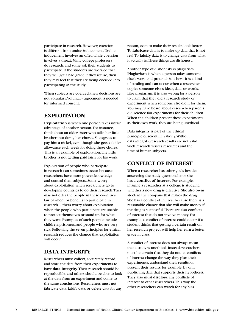participate in research. However, coercion is different from undue inducement. Undue inducement involves an offer, while coercion involves a threat. Many college professors do research, and some ask their students to participate. If the students are worried that they will get a bad grade if they refuse, then they may feel that they are being coerced into participating in the study.

When subjects are coerced, their decisions are not voluntary. Voluntary agreement is needed for informed consent.

#### **Exploitation**

**Exploitation** is when one person takes unfair advantage of another person. For instance, think about an older sister who talks her little brother into doing her chores. She agrees to pay him a nickel, even though she gets a dollar allowance each week for doing these chores. This is an example of exploitation. The little brother is not getting paid fairly for his work.

Exploitation of people who participate in research can sometimes occur because researchers have more power, knowledge, and control than subjects. Some worry about exploitation when researchers go to developing countries to do their research. They may not offer the people in these countries fair payment or benefits to participate in research. Others worry about exploitation when the people who participate are unable to protect themselves or stand up for what they want. Examples of such people include children, prisoners, and people who are very sick. Following the seven principles for ethical research reduces the chance that exploitation will occur.

#### **Data Integrity**

Researchers must collect, accurately record, and store the data from their experiments to have **data integrity**. Their research should be reproducible, and others should be able to look at the data from an experiment and come to the same conclusions. Researchers must not fabricate data, falsify data, or delete data for any

reason, even to make their results look better. To **fabricate** data is to make up data that is not real. To **falsify** data is to change data from what it actually is. These things are dishonest.

Another type of dishonesty is plagiarism. **Plagiarism** is when a person takes someone else's work and pretends it is hers. It is a kind of stealing and can occur when a researcher copies someone else's ideas, data, or words. Like plagiarism, it is also wrong for a person to claim that they did a research study or experiment when someone else did it for them. You may have heard about cases when parents did science fair experiments for their children. When the children present these experiments as their own work, they are being unethical.

Data integrity is part of the ethical principle of scientific validity. Without data integrity, research results are not valid. Such research wastes resources and the time of human subjects.

#### **Conflict of Interest**

When a researcher has other goals besides answering the study question, he or she has a **conflict of interest**. For example, imagine a researcher at a college is studying whether a new drug is effective. She also owns stock in the company that makes the drug. She has a conflict of interest because there is a reasonable chance that she will make money if the drug is successful. There are also conflicts of interest that do not involve money. For example, a conflict of interest could occur if a student thinks that getting a certain result on her research project will help her earn a better grade in class.

A conflict of interest does not always mean that a study is unethical. Instead, researchers must be certain that they do not let conflicts of interest change the way they plan their experiments, understand their results, or present their results, for example, by only publishing data that supports their hypothesis. They also must **disclose** any conflicts of interest to other researchers. This way, the other researchers can watch for any bias.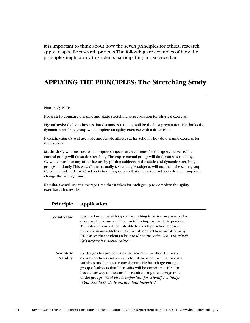It is important to think about how the seven principles for ethical research apply to specific research projects. The following are examples of how the principles might apply to students participating in a science fair.

# **Applying the Principles: The Stretching Study**

#### **Name:** Cy N. Tist

**Project:**To compare dynamic and static stretching as preparation for physical exercise.

**Hypothesis:** Cy hypothesizes that dynamic stretching will be the best preparation. He thinks the dynamic stretching group will complete an agility exercise with a faster time.

**Participants:** Cy will use male and female athletes at his school. They do dynamic exercise for their sports.

**Method:** Cy will measure and compare subjects' average times for the agility exercise. The control group will do static stretching. The experimental group will do dynamic stretching. Cy will control for any other factors by putting subjects in the static and dynamic stretching groups randomly. This way, all the naturally fast and agile subjects will not be in the same group. Cy will include at least 25 subjects in each group, so that one or two subjects do not completely change the average time.

**Results:** Cy will use the average time that it takes for each group to complete the agility exercise as his results.

| <b>Social Value</b>           | It is not known which type of stretching is better preparation for<br>exercise. The answer will be useful to improve athletic practice.<br>The information will be valuable to Cy's high school because<br>there are many athletes and active students. There are also many<br>P.E. classes that students take. Are there any other ways in which<br>Cy's project has social value?                                                                     |
|-------------------------------|---------------------------------------------------------------------------------------------------------------------------------------------------------------------------------------------------------------------------------------------------------------------------------------------------------------------------------------------------------------------------------------------------------------------------------------------------------|
| Scientific<br><b>Validity</b> | Cy designs his project using the scientific method. He has a<br>clear hypothesis and a way to test it, he is controlling for extra<br>variables, and he has a control group. He has a large enough<br>group of subjects that his results will be convincing. He also<br>has a clear way to measure his results: using the average time<br>of the groups. What else is important for scientific validity?<br>What should Cy do to ensure data integrity? |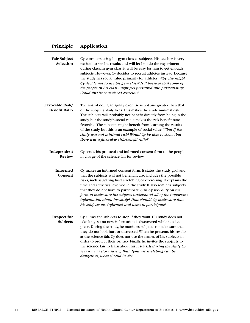| Fair Subject<br>Selection      | Cy considers using his gym class as subjects. His teacher is very<br>excited to see his results and will let him do the experiment<br>during class. In gym class, it will be easy for him to get enough<br>subjects. However, Cy decides to recruit athletes instead, because<br>the study has social value primarily for athletes. Why else might<br>Cy decide not to use his gym class? Is it possible that some of<br>the people in his class might feel pressured into participating?<br>Could this be considered coercion?                                                           |
|--------------------------------|-------------------------------------------------------------------------------------------------------------------------------------------------------------------------------------------------------------------------------------------------------------------------------------------------------------------------------------------------------------------------------------------------------------------------------------------------------------------------------------------------------------------------------------------------------------------------------------------|
| Favorable Risk/                | The risk of doing an agility exercise is not any greater than that                                                                                                                                                                                                                                                                                                                                                                                                                                                                                                                        |
| <b>Benefit Ratio</b>           | of the subjects' daily lives. This makes the study minimal risk.<br>The subjects will probably not benefit directly from being in the<br>study, but the study's social value makes the risk-benefit ratio<br>favorable. The subjects might benefit from learning the results<br>of the study, but this is an example of social value. What if the<br>study was not minimal risk? Would Cy be able to show that<br>there was a favorable risk/benefit ratio?                                                                                                                               |
| Independent<br><b>Review</b>   | Cy sends his protocol and informed consent form to the people<br>in charge of the science fair for review.                                                                                                                                                                                                                                                                                                                                                                                                                                                                                |
| Informed<br>Consent            | Cy makes an informed consent form. It states the study goal and<br>that the subjects will not benefit. It also includes the possible<br>risks, such as getting hurt stretching or exercising. It explains the<br>time and activities involved in the study. It also reminds subjects<br>that they do not have to participate. Can Cy rely only on the<br>form to make sure his subjects understand all of the important<br>information about his study? How should Cy make sure that<br>bis subjects are informed and want to participate?                                                |
| <b>Respect for</b><br>Subjects | Cy allows the subjects to stop if they want. His study does not<br>take long, so no new information is discovered while it takes<br>place. During the study, he monitors subjects to make sure that<br>they do not look hurt or distressed. When he presents his results<br>at the science fair, Cy does not use the names of his subjects in<br>order to protect their privacy. Finally, he invites the subjects to<br>the science fair to learn about his results. If during the study $Cy$<br>sees a news story saying that dynamic stretching can be<br>dangerous, what should he do? |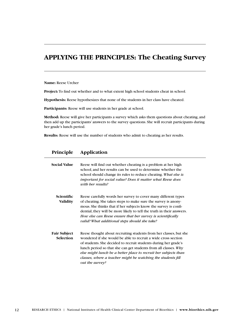# **Applying the Principles: The Cheating Survey**

**Name:** Reese Urcher

**Project:**To find out whether and to what extent high school students cheat in school.

**Hypothesis:** Reese hypothesizes that none of the students in her class have cheated.

**Participants:** Reese will use students in her grade at school.

**Method:** Reese will give her participants a survey which asks them questions about cheating, and then add up the participants' answers to the survey questions. She will recruit participants during her grade's lunch period.

**Results:** Reese will use the number of students who admit to cheating as her results.

| <b>Social Value</b>                     | Reese will find out whether cheating is a problem at her high<br>school, and her results can be used to determine whether the<br>school should change its rules to reduce cheating. What else is<br>important for social value? Does it matter what Reese does<br>with her results?                                                                                                                                              |
|-----------------------------------------|----------------------------------------------------------------------------------------------------------------------------------------------------------------------------------------------------------------------------------------------------------------------------------------------------------------------------------------------------------------------------------------------------------------------------------|
| Scientific<br><b>Validity</b>           | Reese carefully words her survey to cover many different types<br>of cheating. She takes steps to make sure the survey is anony-<br>mous. She thinks that if her subjects know the survey is confi-<br>dential, they will be more likely to tell the truth in their answers.<br>How else can Reese ensure that her survey is scientifically<br>valid? What additional steps should she take?                                     |
| <b>Fair Subject</b><br><b>Selection</b> | Reese thought about recruiting students from her classes, but she<br>wondered if she would be able to recruit a wide cross section<br>of students. She decided to recruit students during her grade's<br>lunch period so that she can get students from all classes. $Wby$<br>else might lunch be a better place to recruit her subjects than<br>classes, where a teacher might be watching the students fill<br>out the survey? |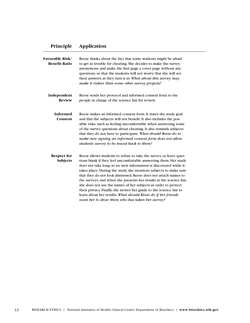| <b>Favorable Risk/</b><br><b>Benefit Ratio</b> | Reese thinks about the fact that some students might be afraid<br>to get in trouble for cheating. She decides to make the survey<br>anonymous, and make the first page a cover page without any<br>questions, so that the students will not worry that she will see<br>their answers as they turn it in. What about this survey may<br>make it riskier than some other survey projects?                                                                                                                                                                                                                                                                                                 |
|------------------------------------------------|-----------------------------------------------------------------------------------------------------------------------------------------------------------------------------------------------------------------------------------------------------------------------------------------------------------------------------------------------------------------------------------------------------------------------------------------------------------------------------------------------------------------------------------------------------------------------------------------------------------------------------------------------------------------------------------------|
| Independent<br><b>Review</b>                   | Reese sends her protocol and informed consent form to the<br>people in charge of the science fair for review.                                                                                                                                                                                                                                                                                                                                                                                                                                                                                                                                                                           |
| <b>Informed</b><br>Consent                     | Reese makes an informed consent form. It states the study goal<br>and that the subjects will not benefit. It also includes the pos-<br>sible risks, such as feeling uncomfortable when answering some<br>of the survey questions about cheating. It also reminds subjects<br>that they do not have to participate. What should Reese do to<br>make sure signing an informed consent form does not allow<br>students' survey to be traced back to them?                                                                                                                                                                                                                                  |
| Respect for<br><b>Subjects</b>                 | Reese allows students to refuse to take the survey, or leave ques-<br>tions blank if they feel uncomfortable answering them. Her study<br>does not take long, so no new information is discovered while it<br>takes place. During the study, she monitors subjects to make sure<br>that they do not look distressed. Reese does not attach names to<br>the surveys, and when she presents her results at the science fair,<br>she does not use the names of her subjects in order to protect<br>their privacy. Finally, she invites her grade to the science fair to<br>learn about her results. What should Reese do if her friends<br>want her to show them who has taken her survey? |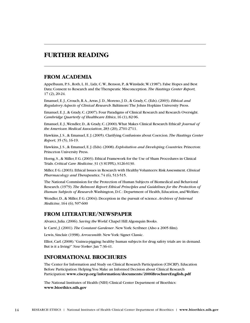### **Further Reading**

#### **From Academia**

Appelbaum, P. S., Roth, L. H., Lidz, C. W., Benson, P., & Winslade, W. (1987). False Hopes and Best Data: Consent to Research and the Therapeutic Misconception. *The Hastings Center Report,* 17 (2), 20-24.

Emanuel, E. J., Crouch, R. A., Arras, J. D., Moreno, J. D., & Grady, C. (Eds). (2003). *Ethical and Regulatory Aspects of Clinical Research*. Baltimore: The Johns Hopkins University Press.

Emanuel, E.J., & Grady, C. (2007). Four Paradigms of Clinical Research and Research Oversight. *Cambridge Quarterly of Healthcare Ethics*, 16 (1), 82-96.

Emanuel, E. J., Wendler, D., & Grady, C. (2000). What Makes Clinical Research Ethical? *Journal of the American Medical Association*, 283 (20), 2701-2711.

Hawkins, J. S., & Emanuel, E. J. (2005). Clarifying Confusions about Coercion. *The Hastings Center Report,* 35 (5), 16-19.

Hawkins, J. S., & Emanuel, E. J. (Eds). (2008). *Exploitation and Developing Countries*. Princeton: Princeton University Press.

Horng, S., & Miller, F. G. (2003). Ethical Framework for the Use of Sham Procedures in Clinical Trials. *Critical Care Medicine*, 31 (3 SUPPL), S126-S130.

Miller, F. G. (2003). Ethical Issues in Research with Healthy Volunteers: Risk Assessment. *Clinical Pharmacology and Therapeutics*, 74 (6), 513-515.

The National Commission for the Protection of Human Subjects of Biomedical and Behavioral Research. (1979). *The Belmont Report: Ethical Principles and Guidelines for the Protection of Human Subjects of Research*. Washington, D.C.: Department of Health, Education, and Welfare.

Wendler, D., & Miller, F. G. (2004). Deception in the pursuit of science. *Archives of Internal Medicine*, 164 (6), 597-600

#### **From Literature/Newspaper**

Alvarez, Julia. (2006). *Saving the World*. Chapel Hill: Algonquin Books.

le Carré, J. (2001). *The Constant Gardener*. New York: Scribner. (Also a 2005 film).

Lewis, Sinclair. (1998). *Arrowsmith*. New York: Signet Classic.

Elliot, Carl. (2008). "Guinea-pigging: healthy human subjects for drug safety trials are in demand. But is it a living?" *New Yorker*. Jan 7:36-41.

#### **Informational Brochures**

The Center for Information and Study on Clinical Research Participation (CISCRP). Education Before Participation: Helping You Make an Informed Decision about Clinical Research Participation: **www.ciscrp.org/information/documents/2006BrochureEnglish.pdf**

The National Institutes of Health (NIH) Clinical Center Department of Bioethics: **www.bioethics.nih.gov**